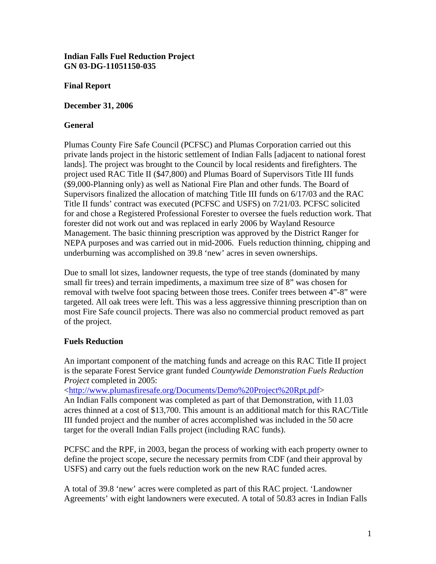### **Indian Falls Fuel Reduction Project GN 03-DG-11051150-035**

### **Final Report**

**December 31, 2006** 

### **General**

Plumas County Fire Safe Council (PCFSC) and Plumas Corporation carried out this private lands project in the historic settlement of Indian Falls [adjacent to national forest lands]. The project was brought to the Council by local residents and firefighters. The project used RAC Title II (\$47,800) and Plumas Board of Supervisors Title III funds (\$9,000-Planning only) as well as National Fire Plan and other funds. The Board of Supervisors finalized the allocation of matching Title III funds on 6/17/03 and the RAC Title II funds' contract was executed (PCFSC and USFS) on 7/21/03. PCFSC solicited for and chose a Registered Professional Forester to oversee the fuels reduction work. That forester did not work out and was replaced in early 2006 by Wayland Resource Management. The basic thinning prescription was approved by the District Ranger for NEPA purposes and was carried out in mid-2006. Fuels reduction thinning, chipping and underburning was accomplished on 39.8 'new' acres in seven ownerships.

Due to small lot sizes, landowner requests, the type of tree stands (dominated by many small fir trees) and terrain impediments, a maximum tree size of 8" was chosen for removal with twelve foot spacing between those trees. Conifer trees between 4"-8" were targeted. All oak trees were left. This was a less aggressive thinning prescription than on most Fire Safe council projects. There was also no commercial product removed as part of the project.

# **Fuels Reduction**

An important component of the matching funds and acreage on this RAC Title II project is the separate Forest Service grant funded *Countywide Demonstration Fuels Reduction Project* completed in 2005:

<[http://www.plumasfiresafe.org/Documents/Demo%20Project%20Rpt.pdf>](http://www.plumasfiresafe.org/Documents/Demo%20Project%20Rpt.pdf)

An Indian Falls component was completed as part of that Demonstration, with 11.03 acres thinned at a cost of \$13,700. This amount is an additional match for this RAC/Title III funded project and the number of acres accomplished was included in the 50 acre target for the overall Indian Falls project (including RAC funds).

PCFSC and the RPF, in 2003, began the process of working with each property owner to define the project scope, secure the necessary permits from CDF (and their approval by USFS) and carry out the fuels reduction work on the new RAC funded acres.

A total of 39.8 'new' acres were completed as part of this RAC project. 'Landowner Agreements' with eight landowners were executed. A total of 50.83 acres in Indian Falls